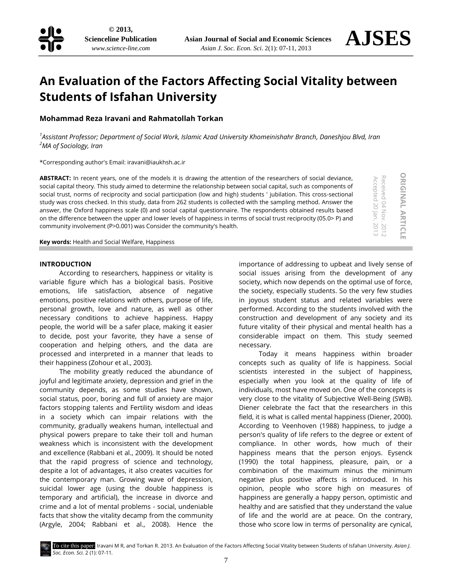

**ORIGINAL**

**ORIGINAL ARTICLE** 

Accepted 20 Jan. 2013 Received 04 Nov. 2012

Received 04 Nov. 2012<br>Accepted 20 Jan. 2013

**ARTICLE**

# **An Evaluation of the Factors Affecting Social Vitality between Students of Isfahan University**

# **Mohammad Reza Iravani and Rahmatollah Torkan**

*1 Assistant Professor; Department of Social Work, Islamic Azad University Khomeinishahr Branch, Daneshjou Blvd, Iran <sup>2</sup>MA of Sociology, Iran*

\*Corresponding author's Email[: iravani@iaukhsh.ac.ir](mailto:iravani@iaukhsh.ac.ir)

**ABSTRACT:** In recent years, one of the models it is drawing the attention of the researchers of social deviance, social capital theory. This study aimed to determine the relationship between social capital, such as components of social trust, norms of reciprocity and social participation (low and high) students ' jubilation. This cross-sectional study was cross checked. In this study, data from 262 students is collected with the sampling method. Answer the answer, the Oxford happiness scale (0) and social capital questionnaire. The respondents obtained results based on the difference between the upper and lower levels of happiness in terms of social trust reciprocity (05.0> P) and community involvement (P>0.001) was Consider the community's health.

**Key words:** Health and Social Welfare, Happiness

#### **INTRODUCTION**

According to researchers, happiness or vitality is variable figure which has a biological basis. Positive emotions, life satisfaction, absence of negative emotions, positive relations with others, purpose of life, personal growth, love and nature, as well as other necessary conditions to achieve happiness. Happy people, the world will be a safer place, making it easier to decide, post your favorite, they have a sense of cooperation and helping others, and the data are processed and interpreted in a manner that leads to their happiness (Zohour et al., 2003).

The mobility greatly reduced the abundance of joyful and legitimate anxiety, depression and grief in the community depends, as some studies have shown, social status, poor, boring and full of anxiety are major factors stopping talents and Fertility wisdom and ideas in a society which can impair relations with the community, gradually weakens human, intellectual and physical powers prepare to take their toll and human weakness which is inconsistent with the development and excellence (Rabbani et al., 2009). It should be noted that the rapid progress of science and technology, despite a lot of advantages, it also creates vacuities for the contemporary man. Growing wave of depression, suicidal lower age (using the double happiness is temporary and artificial), the increase in divorce and crime and a lot of mental problems - social, undeniable facts that show the vitality decamp from the community (Argyle, 2004; Rabbani et al., 2008). Hence the importance of addressing to upbeat and lively sense of social issues arising from the development of any society, which now depends on the optimal use of force, the society, especially students. So the very few studies in joyous student status and related variables were performed. According to the students involved with the construction and development of any society and its future vitality of their physical and mental health has a considerable impact on them. This study seemed necessary.

Today it means happiness within broader concepts such as quality of life is happiness. Social scientists interested in the subject of happiness, especially when you look at the quality of life of individuals, most have moved on. One of the concepts is very close to the vitality of Subjective Well-Being (SWB). Diener celebrate the fact that the researchers in this field, it is what is called mental happiness (Diener, 2000). According to Veenhoven (1988) happiness, to judge a person's quality of life refers to the degree or extent of compliance. In other words, how much of their happiness means that the person enjoys. Eysenck (1990) the total happiness, pleasure, pain, or a combination of the maximum minus the minimum negative plus positive affects is introduced. In his opinion, people who score high on measures of happiness are generally a happy person, optimistic and healthy and are satisfied that they understand the value of life and the world are at peace. On the contrary, those who score low in terms of personality are cynical,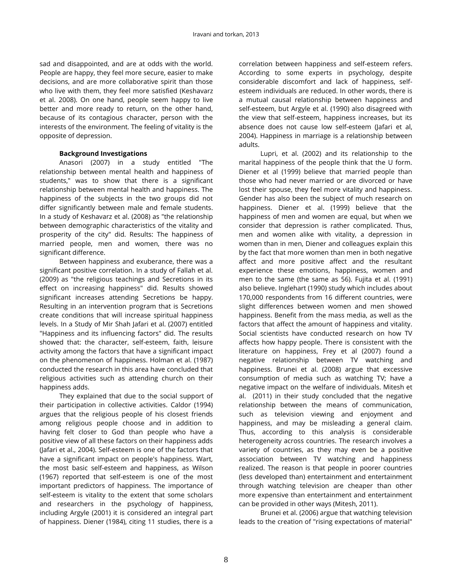sad and disappointed, and are at odds with the world. People are happy, they feel more secure, easier to make decisions, and are more collaborative spirit than those who live with them, they feel more satisfied (Keshavarz et al. 2008). On one hand, people seem happy to live better and more ready to return, on the other hand, because of its contagious character, person with the interests of the environment. The feeling of vitality is the opposite of depression.

# **Background Investigations**

Anasori (2007) in a study entitled "The relationship between mental health and happiness of students," was to show that there is a significant relationship between mental health and happiness. The happiness of the subjects in the two groups did not differ significantly between male and female students. In a study of Keshavarz et al. (2008) as "the relationship between demographic characteristics of the vitality and prosperity of the city" did. Results: The happiness of married people, men and women, there was no significant difference.

Between happiness and exuberance, there was a significant positive correlation. In a study of Fallah et al. (2009) as "the religious teachings and Secretions in its effect on increasing happiness" did. Results showed significant increases attending Secretions be happy. Resulting in an intervention program that is Secretions create conditions that will increase spiritual happiness levels. In a Study of Mir Shah Jafari et al. (2007) entitled "Happiness and its influencing factors" did. The results showed that: the character, self-esteem, faith, leisure activity among the factors that have a significant impact on the phenomenon of happiness. Holman et al. (1987) conducted the research in this area have concluded that religious activities such as attending church on their happiness adds.

They explained that due to the social support of their participation in collective activities. Caldor (1994) argues that the religious people of his closest friends among religious people choose and in addition to having felt closer to God than people who have a positive view of all these factors on their happiness adds (Jafari et al., 2004). Self-esteem is one of the factors that have a significant impact on people's happiness. Wart, the most basic self-esteem and happiness, as Wilson (1967) reported that self-esteem is one of the most important predictors of happiness. The importance of self-esteem is vitality to the extent that some scholars and researchers in the psychology of happiness, including Argyle (2001) it is considered an integral part of happiness. Diener (1984), citing 11 studies, there is a

correlation between happiness and self-esteem refers. According to some experts in psychology, despite considerable discomfort and lack of happiness, selfesteem individuals are reduced. In other words, there is a mutual causal relationship between happiness and self-esteem, but Argyle et al. (1990) also disagreed with the view that self-esteem, happiness increases, but its absence does not cause low self-esteem (Jafari et al, 2004). Happiness in marriage is a relationship between adults.

Lupri, et al. (2002) and its relationship to the marital happiness of the people think that the U form. Diener et al (1999) believe that married people than those who had never married or are divorced or have lost their spouse, they feel more vitality and happiness. Gender has also been the subject of much research on happiness. Diener et al. (1999) believe that the happiness of men and women are equal, but when we consider that depression is rather complicated. Thus, men and women alike with vitality, a depression in women than in men, Diener and colleagues explain this by the fact that more women than men in both negative affect and more positive affect and the resultant experience these emotions, happiness, women and men to the same (the same as 56). Fujita et al. (1991) also believe. Inglehart (1990) study which includes about 170,000 respondents from 16 different countries, were slight differences between women and men showed happiness. Benefit from the mass media, as well as the factors that affect the amount of happiness and vitality. Social scientists have conducted research on how TV affects how happy people. There is consistent with the literature on happiness, Frey et al (2007) found a negative relationship between TV watching and happiness. Brunei et al. (2008) argue that excessive consumption of media such as watching TV; have a negative impact on the welfare of individuals. Mitesh et al. (2011) in their study concluded that the negative relationship between the means of communication, such as television viewing and enjoyment and happiness, and may be misleading a general claim. Thus, according to this analysis is considerable heterogeneity across countries. The research involves a variety of countries, as they may even be a positive association between TV watching and happiness realized. The reason is that people in poorer countries (less developed than) entertainment and entertainment through watching television are cheaper than other more expensive than entertainment and entertainment can be provided in other ways (Mitesh, 2011).

Brunei et al. (2006) argue that watching television leads to the creation of "rising expectations of material"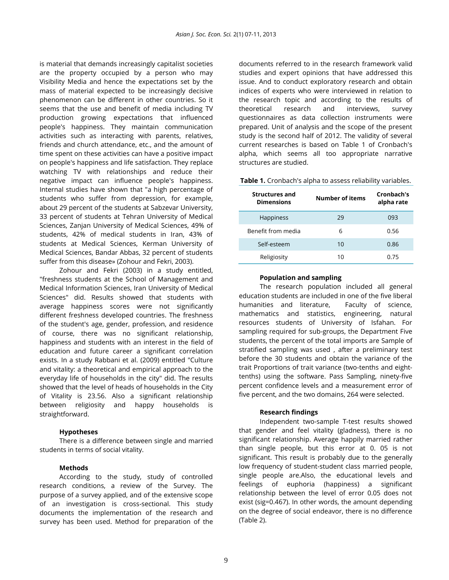is material that demands increasingly capitalist societies are the property occupied by a person who may Visibility Media and hence the expectations set by the mass of material expected to be increasingly decisive phenomenon can be different in other countries. So it seems that the use and benefit of media including TV production growing expectations that influenced people's happiness. They maintain communication activities such as interacting with parents, relatives, friends and church attendance, etc., and the amount of time spent on these activities can have a positive impact on people's happiness and life satisfaction. They replace watching TV with relationships and reduce their negative impact can influence people's happiness. Internal studies have shown that "a high percentage of students who suffer from depression, for example, about 29 percent of the students at Sabzevar University, 33 percent of students at Tehran University of Medical Sciences, Zanjan University of Medical Sciences, 49% of students, 42% of medical students in Iran, 43% of students at Medical Sciences, Kerman University of Medical Sciences, Bandar Abbas, 32 percent of students suffer from this disease» (Zohour and Fekri, 2003).

Zohour and Fekri (2003) in a study entitled, "freshness students at the School of Management and Medical Information Sciences, Iran University of Medical Sciences" did. Results showed that students with average happiness scores were not significantly different freshness developed countries. The freshness of the student's age, gender, profession, and residence of course, there was no significant relationship, happiness and students with an interest in the field of education and future career a significant correlation exists. In a study Rabbani et al. (2009) entitled "Culture and vitality: a theoretical and empirical approach to the everyday life of households in the city" did. The results showed that the level of heads of households in the City of Vitality is 23.56. Also a significant relationship between religiosity and happy households is straightforward.

#### **Hypotheses**

There is a difference between single and married students in terms of social vitality.

#### **Methods**

According to the study, study of controlled research conditions, a review of the Survey. The purpose of a survey applied, and of the extensive scope of an investigation is cross-sectional. This study documents the implementation of the research and survey has been used. Method for preparation of the

documents referred to in the research framework valid studies and expert opinions that have addressed this issue. And to conduct exploratory research and obtain indices of experts who were interviewed in relation to the research topic and according to the results of theoretical research and interviews, survey questionnaires as data collection instruments were prepared. Unit of analysis and the scope of the present study is the second half of 2012. The validity of several current researches is based on Table 1 of Cronbach's alpha, which seems all too appropriate narrative structures are studied.

| Table 1. Cronbach's alpha to assess reliability variables. |
|------------------------------------------------------------|
|------------------------------------------------------------|

| <b>Structures and</b><br><b>Dimensions</b> | <b>Number of items</b> | Cronbach's<br>alpha rate |  |
|--------------------------------------------|------------------------|--------------------------|--|
| <b>Happiness</b>                           | 29                     | 093                      |  |
| Benefit from media                         | 6                      | 0.56                     |  |
| Self-esteem                                | 10                     | 0.86                     |  |
| Religiosity                                | 10                     | 0.75                     |  |

#### **Population and sampling**

The research population included all general education students are included in one of the five liberal humanities and literature, Faculty of science, mathematics and statistics, engineering, natural resources students of University of Isfahan. For sampling required for sub-groups, the Department Five students, the percent of the total imports are Sample of stratified sampling was used , after a preliminary test before the 30 students and obtain the variance of the trait Proportions of trait variance (two-tenths and eighttenths) using the software. Pass Sampling, ninety-five percent confidence levels and a measurement error of five percent, and the two domains, 264 were selected.

# **Research findings**

Independent two-sample T-test results showed that gender and feel vitality (gladness), there is no significant relationship. Average happily married rather than single people, but this error at 0. 05 is not significant. This result is probably due to the generally low frequency of student-student class married people, single people are.Also, the educational levels and feelings of euphoria (happiness) a significant relationship between the level of error 0.05 does not exist (sig=0.467). In other words, the amount depending on the degree of social endeavor, there is no difference (Table 2).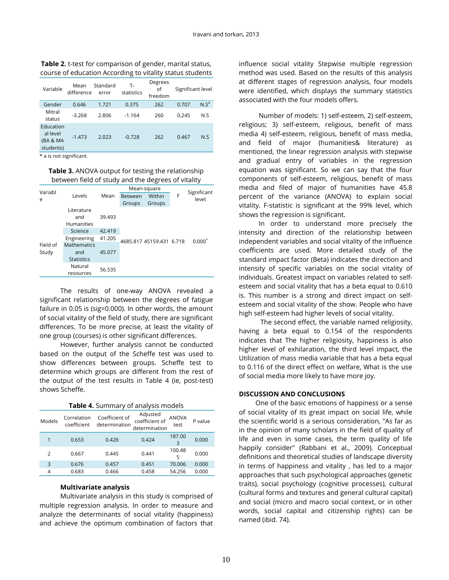| Variable                                       | Mean<br>difference | Standard<br>error | т.<br>statistics | Degrees<br>οf<br>freedom | Significant level |         |
|------------------------------------------------|--------------------|-------------------|------------------|--------------------------|-------------------|---------|
| Gender                                         | 0.646              | 1.721             | 0.375            | 262                      | 0.707             | $N.S^a$ |
| Mitral<br>status                               | $-3.268$           | 2.806             | $-1.164$         | 260                      | 0.245             | N.S     |
| Education<br>al level<br>(BA & MA<br>students) | $-1.473$           | 2.023             | $-0.728$         | 262                      | 0.467             | N.S     |

**Table 2.** t-test for comparison of gender, marital status, course of education According to vitality status students

\* a is not significant.

**Table 3.** ANOVA output for testing the relationship between field of study and the degrees of vitality

| Variabl  |                                        |                          | Mean-square    |        |   |                      |
|----------|----------------------------------------|--------------------------|----------------|--------|---|----------------------|
|          | Levels                                 | Mean                     | <b>Between</b> | Within | F | Significant<br>level |
| e        |                                        |                          | Groups         | Groups |   |                      |
|          | Literature<br>and<br><b>Humanities</b> | 39.493                   |                |        |   | $0.000^7$            |
|          | Science                                | 42.419                   |                |        |   |                      |
|          | Engineering                            | 41.205                   |                |        |   |                      |
| Field of | <b>Mathematics</b>                     | 4685.817 45159.431 6.718 |                |        |   |                      |
| Study    | and                                    | 45.077                   |                |        |   |                      |
|          | <b>Statistics</b>                      |                          |                |        |   |                      |
|          | Natural                                | 56.535                   |                |        |   |                      |
|          | resources                              |                          |                |        |   |                      |

The results of one-way ANOVA revealed a significant relationship between the degrees of fatigue failure in 0.05 is (sig=0.000). In other words, the amount of social vitality of the field of study, there are significant differences. To be more precise, at least the vitality of one group (courses) is other significant differences.

However, further analysis cannot be conducted based on the output of the Scheffe test was used to show differences between groups. Scheffe test to determine which groups are different from the rest of the output of the test results in Table 4 (ie, post-test) shows Scheffe.

| Table 4. Summary of analysis models |                            |                                 |                                             |                      |         |  |  |
|-------------------------------------|----------------------------|---------------------------------|---------------------------------------------|----------------------|---------|--|--|
| Models                              | Correlation<br>coefficient | Coefficient of<br>determination | Adjusted<br>coefficient of<br>determination | <b>ANOVA</b><br>test | P value |  |  |
|                                     | 0.653                      | 0.426                           | 0.424                                       | 187.00<br>3          | 0.000   |  |  |
| 2                                   | 0.667                      | 0.445                           | 0.441                                       | 100.48<br>5          | 0.000   |  |  |
| 3                                   | 0.676                      | 0.457                           | 0.451                                       | 70.006               | 0.000   |  |  |
| 4                                   | 0.683                      | 0.466                           | 0.458                                       | 54.256               | 0.000   |  |  |

#### **Multivariate analysis**

Multivariate analysis in this study is comprised of multiple regression analysis. In order to measure and analyze the determinants of social vitality (happiness) and achieve the optimum combination of factors that

influence social vitality Stepwise multiple regression method was used. Based on the results of this analysis at different stages of regression analysis, four models were identified, which displays the summary statistics associated with the four models offers.

Number of models: 1) self-esteem, 2) self-esteem, religious; 3) self-esteem, religious, benefit of mass media 4) self-esteem, religious, benefit of mass media, and field of major (humanities& literature) as mentioned, the linear regression analysis with stepwise and gradual entry of variables in the regression equation was significant. So we can say that the four components of self-esteem, religious, benefit of mass media and filed of major of humanities have 45.8 percent of the variance (ANOVA) to explain social vitality. F-statistic is significant at the 99% level, which shows the regression is significant.

In order to understand more precisely the intensity and direction of the relationship between independent variables and social vitality of the influence coefficients are used. More detailed study of the standard impact factor (Beta) indicates the direction and intensity of specific variables on the social vitality of individuals. Greatest impact on variables related to selfesteem and social vitality that has a beta equal to 0.610 is. This number is a strong and direct impact on selfesteem and social vitality of the show. People who have high self-esteem had higher levels of social vitality.

The second effect, the variable named religiosity, having a beta equal to 0.154 of the respondents indicates that The higher religiosity, happiness is also higher level of exhilaration, the third level impact, the Utilization of mass media variable that has a beta equal to 0.116 of the direct effect on welfare, What is the use of social media more likely to have more joy.

## **DISCUSSION AND CONCLUSIONS**

One of the basic emotions of happiness or a sense of social vitality of its great impact on social life, while the scientific world is a serious consideration, "As far as in the opinion of many scholars in the field of quality of life and even in some cases, the term quality of life happily consider" (Rabbani et al., 2009). Conceptual definitions and theoretical studies of landscape diversity in terms of happiness and vitality , has led to a major approaches that such psychological approaches (genetic traits), social psychology (cognitive processes), cultural (cultural forms and textures and general cultural capital) and social (micro and macro social context, or in other words, social capital and citizenship rights) can be named (ibid. 74).